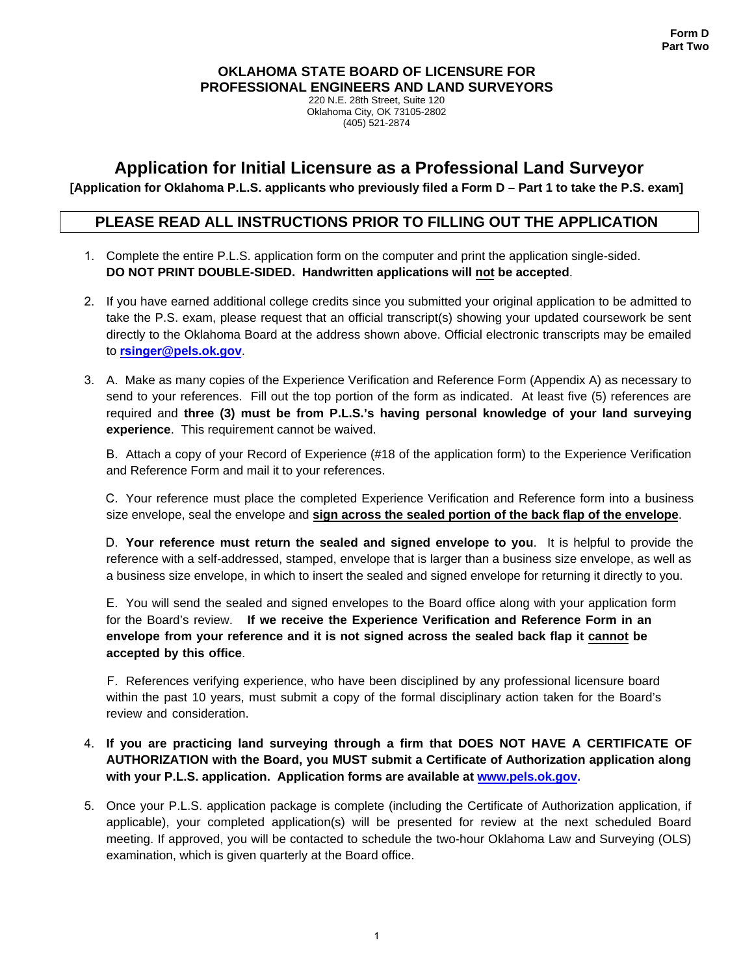#### **OKLAHOMA STATE BOARD OF LICENSURE FOR PROFESSIONAL ENGINEERS AND LAND SURVEYORS**

220 N.E. 28th Street, Suite 120 Oklahoma City, OK 73105-2802 (405) 521-2874

# **Application for Initial Licensure as a Professional Land Surveyor**

**[Application for Oklahoma P.L.S. applicants who previously filed a Form D – Part 1 to take the P.S. exam]** 

### **PLEASE READ ALL INSTRUCTIONS PRIOR TO FILLING OUT THE APPLICATION**

- 1. Complete the entire P.L.S. application form on the computer and print the application single-sided. **DO NOT PRINT DOUBLE-SIDED. Handwritten applications will not be accepted**.
- 2. If you have earned additional college credits since you submitted your original application to be admitted to take the P.S. exam, please request that an official transcript(s) showing your updated coursework be sent directly to the Oklahoma Board at the address shown above. Official electronic transcripts may be emailed to **rsinger@pels.ok.gov**.
- 3. A. Make as many copies of the Experience Verification and Reference Form (Appendix A) as necessary to send to your references. Fill out the top portion of the form as indicated. At least five (5) references are required and **three (3) must be from P.L.S.'s having personal knowledge of your land surveying experience**. This requirement cannot be waived.

B. Attach a copy of your Record of Experience (#18 of the application form) to the Experience Verification and Reference Form and mail it to your references.

C. Your reference must place the completed Experience Verification and Reference form into a business size envelope, seal the envelope and **sign across the sealed portion of the back flap of the envelope**.

D. **Your reference must return the sealed and signed envelope to you**. It is helpful to provide the reference with a self-addressed, stamped, envelope that is larger than a business size envelope, as well as a business size envelope, in which to insert the sealed and signed envelope for returning it directly to you.

E. You will send the sealed and signed envelopes to the Board office along with your application form for the Board's review. **If we receive the Experience Verification and Reference Form in an envelope from your reference and it is not signed across the sealed back flap it cannot be accepted by this office**.

F. References verifying experience, who have been disciplined by any professional licensure board within the past 10 years, must submit a copy of the formal disciplinary action taken for the Board's review and consideration.

### 4. **If you are practicing land surveying through a firm that DOES NOT HAVE A CERTIFICATE OF AUTHORIZATION with the Board, you MUST submit a Certificate of Authorization application along with your P.L.S. application. Application forms are available at www.pels.ok.gov.**

5. Once your P.L.S. application package is complete (including the Certificate of Authorization application, if applicable), your completed application(s) will be presented for review at the next scheduled Board meeting. If approved, you will be contacted to schedule the two-hour Oklahoma Law and Surveying (OLS) examination, which is given quarterly at the Board office.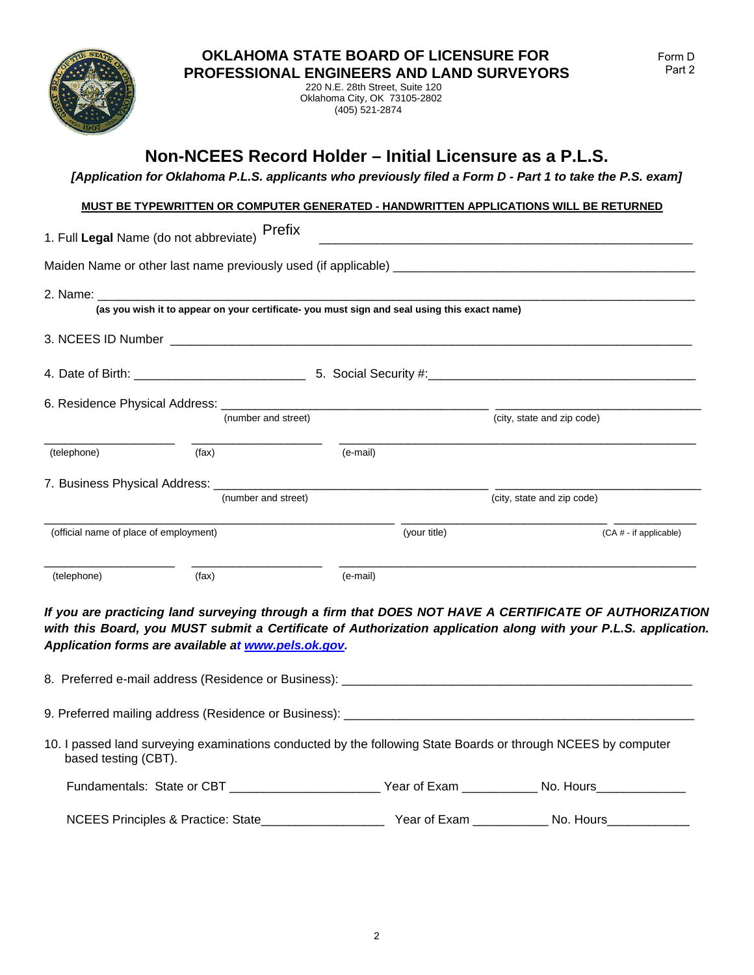

220 N.E. 28th Street, Suite 120 Oklahoma City, OK 73105-2802 (405) 521-2874

# **Non-NCEES Record Holder – Initial Licensure as a P.L.S.**

*[Application for Oklahoma P.L.S. applicants who previously filed a Form D - Part 1 to take the P.S. exam]* 

#### **MUST BE TYPEWRITTEN OR COMPUTER GENERATED - HANDWRITTEN APPLICATIONS WILL BE RETURNED**

|                                        | 1. Full Legal Name (do not abbreviate) Prefix |                                                                                              |              |                            |
|----------------------------------------|-----------------------------------------------|----------------------------------------------------------------------------------------------|--------------|----------------------------|
|                                        |                                               |                                                                                              |              |                            |
|                                        |                                               | (as you wish it to appear on your certificate- you must sign and seal using this exact name) |              |                            |
|                                        |                                               |                                                                                              |              |                            |
|                                        |                                               |                                                                                              |              |                            |
|                                        |                                               |                                                                                              |              |                            |
|                                        | (number and street)                           |                                                                                              |              | (city, state and zip code) |
| (telephone)                            | (fax)                                         | (e-mail)                                                                                     |              |                            |
|                                        |                                               |                                                                                              |              |                            |
|                                        | (number and street)                           |                                                                                              |              | (city, state and zip code) |
| (official name of place of employment) |                                               |                                                                                              | (your title) | (CA # - if applicable)     |
| (telephone)                            | (fax)                                         | (e-mail)                                                                                     |              |                            |

*If you are practicing land surveying through a firm that DOES NOT HAVE A CERTIFICATE OF AUTHORIZATION*  with this Board, you MUST submit a Certificate of Authorization application along with your P.L.S. application. *Application forms are available at www.pels.ok.gov.* 

| 8. Preferred e-mail address (Residence or Business): ___________________________                                                      |  |  |  |  |  |  |
|---------------------------------------------------------------------------------------------------------------------------------------|--|--|--|--|--|--|
| 9. Preferred mailing address (Residence or Business): ____________                                                                    |  |  |  |  |  |  |
| 10. I passed land surveying examinations conducted by the following State Boards or through NCEES by computer<br>based testing (CBT). |  |  |  |  |  |  |
| Fundamentals: State or CBT The Contract of State of Care of Exam No. Hours                                                            |  |  |  |  |  |  |
| NCEES Principles & Practice: State                                                                                                    |  |  |  |  |  |  |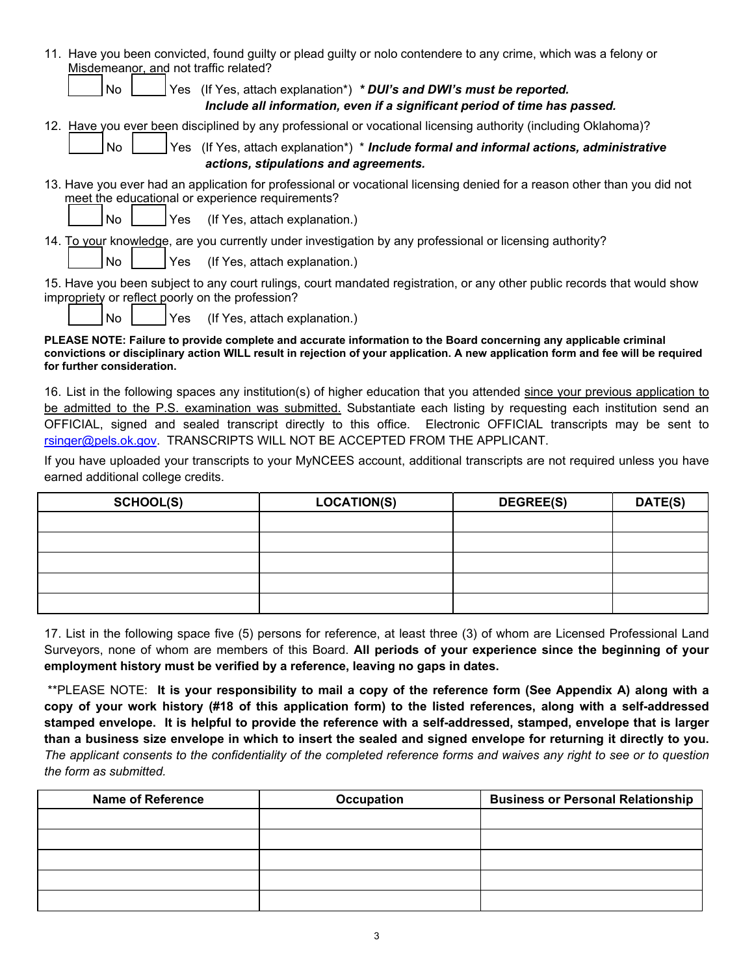|                                       |     | 11. Have you been convicted, found guilty or plead guilty or nolo contendere to any crime, which was a felony or                                                             |
|---------------------------------------|-----|------------------------------------------------------------------------------------------------------------------------------------------------------------------------------|
| Misdemeanor, and not traffic related? |     |                                                                                                                                                                              |
| <b>No</b>                             |     | Yes (If Yes, attach explanation*) * DUI's and DWI's must be reported.<br>Include all information, even if a significant period of time has passed.                           |
|                                       |     | 12. Have you ever been disciplined by any professional or vocational licensing authority (including Oklahoma)?                                                               |
| No                                    |     | Yes (If Yes, attach explanation <sup>*</sup> ) * <b>Include formal and informal actions, administrative</b><br>actions, stipulations and agreements.                         |
|                                       |     | 13. Have you ever had an application for professional or vocational licensing denied for a reason other than you did not<br>meet the educational or experience requirements? |
| No.                                   | Yes | (If Yes, attach explanation.)                                                                                                                                                |
|                                       |     | 14. To your knowledge, are you currently under investigation by any professional or licensing authority?                                                                     |
| No                                    | Yes | (If Yes, attach explanation.)                                                                                                                                                |
|                                       |     | 15. Have you been subject to any court rulings, court mandated registration, or any other public records that would show<br>impropriety or reflect poorly on the profession? |
| No                                    | Yes | (If Yes, attach explanation.)                                                                                                                                                |

**PLEASE NOTE: Failure to provide complete and accurate information to the Board concerning any applicable criminal convictions or disciplinary action WILL result in rejection of your application. A new application form and fee will be required for further consideration.** 

16. List in the following spaces any institution(s) of higher education that you attended since your previous application to be admitted to the P.S. examination was submitted. Substantiate each listing by requesting each institution send an OFFICIAL, signed and sealed transcript directly to this office. Electronic OFFICIAL transcripts may be sent to rsinger@pels.ok.gov. TRANSCRIPTS WILL NOT BE ACCEPTED FROM THE APPLICANT.

If you have uploaded your transcripts to your MyNCEES account, additional transcripts are not required unless you have earned additional college credits.

| <b>SCHOOL(S)</b> | <b>LOCATION(S)</b> | <b>DEGREE(S)</b> | DATE(S) |
|------------------|--------------------|------------------|---------|
|                  |                    |                  |         |
|                  |                    |                  |         |
|                  |                    |                  |         |
|                  |                    |                  |         |
|                  |                    |                  |         |

17. List in the following space five (5) persons for reference, at least three (3) of whom are Licensed Professional Land Surveyors, none of whom are members of this Board. **All periods of your experience since the beginning of your employment history must be verified by a reference, leaving no gaps in dates.** 

 \*\*PLEASE NOTE: **It is your responsibility to mail a copy of the reference form (See Appendix A) along with a copy of your work history (#18 of this application form) to the listed references, along with a self-addressed stamped envelope. It is helpful to provide the reference with a self-addressed, stamped, envelope that is larger than a business size envelope in which to insert the sealed and signed envelope for returning it directly to you.**  *The applicant consents to the confidentiality of the completed reference forms and waives any right to see or to question the form as submitted.* 

| <b>Name of Reference</b> | Occupation | <b>Business or Personal Relationship</b> |
|--------------------------|------------|------------------------------------------|
|                          |            |                                          |
|                          |            |                                          |
|                          |            |                                          |
|                          |            |                                          |
|                          |            |                                          |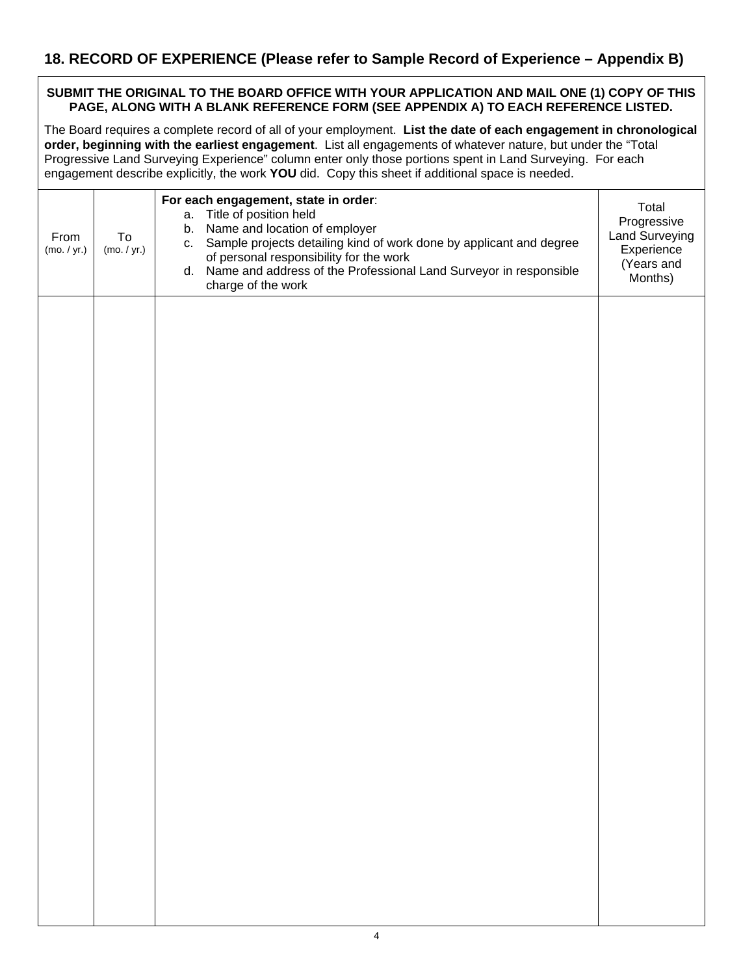# **18. RECORD OF EXPERIENCE (Please refer to Sample Record of Experience – Appendix B)**

#### **SUBMIT THE ORIGINAL TO THE BOARD OFFICE WITH YOUR APPLICATION AND MAIL ONE (1) COPY OF THIS PAGE, ALONG WITH A BLANK REFERENCE FORM (SEE APPENDIX A) TO EACH REFERENCE LISTED.**

The Board requires a complete record of all of your employment. **List the date of each engagement in chronological order, beginning with the earliest engagement**. List all engagements of whatever nature, but under the "Total Progressive Land Surveying Experience" column enter only those portions spent in Land Surveying. For each engagement describe explicitly, the work **YOU** did. Copy this sheet if additional space is needed.

| From<br>(mo. / yr.) | To<br>(mo. / yr.) | For each engagement, state in order:<br>Title of position held<br>a.<br>Name and location of employer<br>b.<br>c. Sample projects detailing kind of work done by applicant and degree<br>of personal responsibility for the work<br>d. Name and address of the Professional Land Surveyor in responsible<br>charge of the work | Total<br>Progressive<br>Land Surveying<br>Experience<br>(Years and<br>Months) |
|---------------------|-------------------|--------------------------------------------------------------------------------------------------------------------------------------------------------------------------------------------------------------------------------------------------------------------------------------------------------------------------------|-------------------------------------------------------------------------------|
|                     |                   |                                                                                                                                                                                                                                                                                                                                |                                                                               |
|                     |                   |                                                                                                                                                                                                                                                                                                                                |                                                                               |
|                     |                   |                                                                                                                                                                                                                                                                                                                                |                                                                               |
|                     |                   |                                                                                                                                                                                                                                                                                                                                |                                                                               |
|                     |                   |                                                                                                                                                                                                                                                                                                                                |                                                                               |
|                     |                   |                                                                                                                                                                                                                                                                                                                                |                                                                               |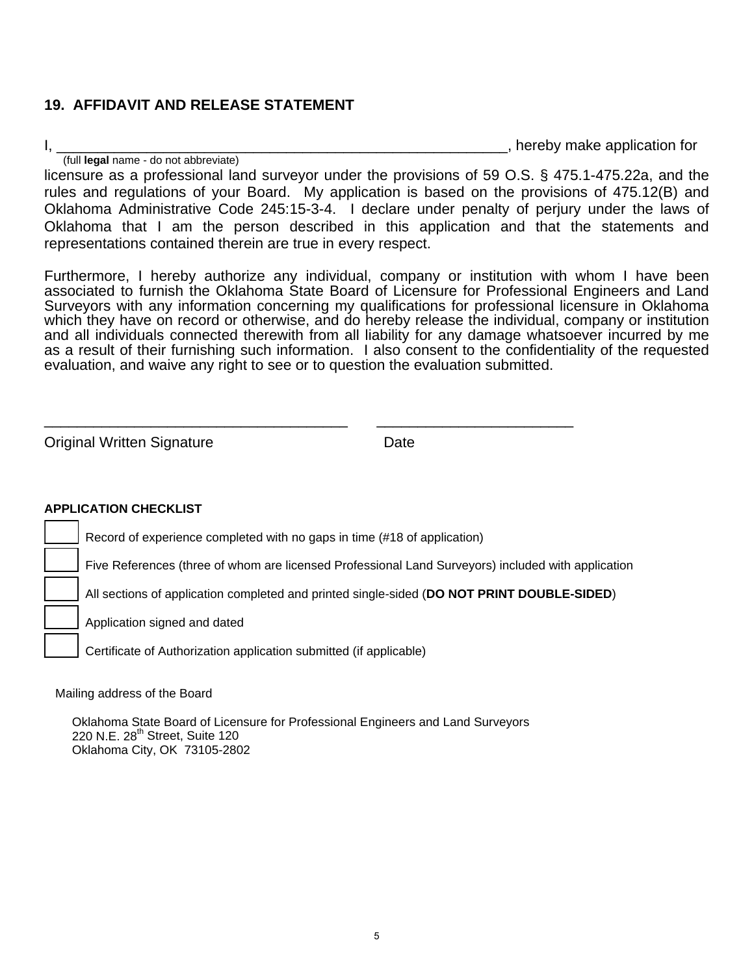# **19. AFFIDAVIT AND RELEASE STATEMENT**

I,  $\frac{1}{2}$  (full **legal** name - do not abbreviate) licensure as a professional land surveyor under the provisions of 59 O.S. § 475.1-475.22a, and the

rules and regulations of your Board. My application is based on the provisions of 475.12(B) and Oklahoma Administrative Code 245:15-3-4. I declare under penalty of perjury under the laws of Oklahoma that I am the person described in this application and that the statements and representations contained therein are true in every respect.

Furthermore, I hereby authorize any individual, company or institution with whom I have been associated to furnish the Oklahoma State Board of Licensure for Professional Engineers and Land Surveyors with any information concerning my qualifications for professional licensure in Oklahoma which they have on record or otherwise, and do hereby release the individual, company or institution and all individuals connected therewith from all liability for any damage whatsoever incurred by me as a result of their furnishing such information. I also consent to the confidentiality of the requested evaluation, and waive any right to see or to question the evaluation submitted.

**Original Written Signature Communist Contract Contract Contract Contract Contract Contract Contract Contract Contract Contract Contract Contract Contract Contract Contract Contract Contract Contract Contract Contract Co** 

### **APPLICATION CHECKLIST**

Record of experience completed with no gaps in time (#18 of application)

\_\_\_\_\_\_\_\_\_\_\_\_\_\_\_\_\_\_\_\_\_\_\_\_\_\_\_\_\_\_\_\_\_\_\_\_\_ \_\_\_\_\_\_\_\_\_\_\_\_\_\_\_\_\_\_\_\_\_\_\_\_

Five References (three of whom are licensed Professional Land Surveyors) included with application

\_\_\_\_\_ All sections of application completed and printed single-sided (**DO NOT PRINT DOUBLE-SIDED**)

Application signed and dated

Certificate of Authorization application submitted (if applicable)

Mailing address of the Board

Oklahoma State Board of Licensure for Professional Engineers and Land Surveyors 220 N.E.  $28<sup>th</sup>$  Street, Suite 120 Oklahoma City, OK 73105-2802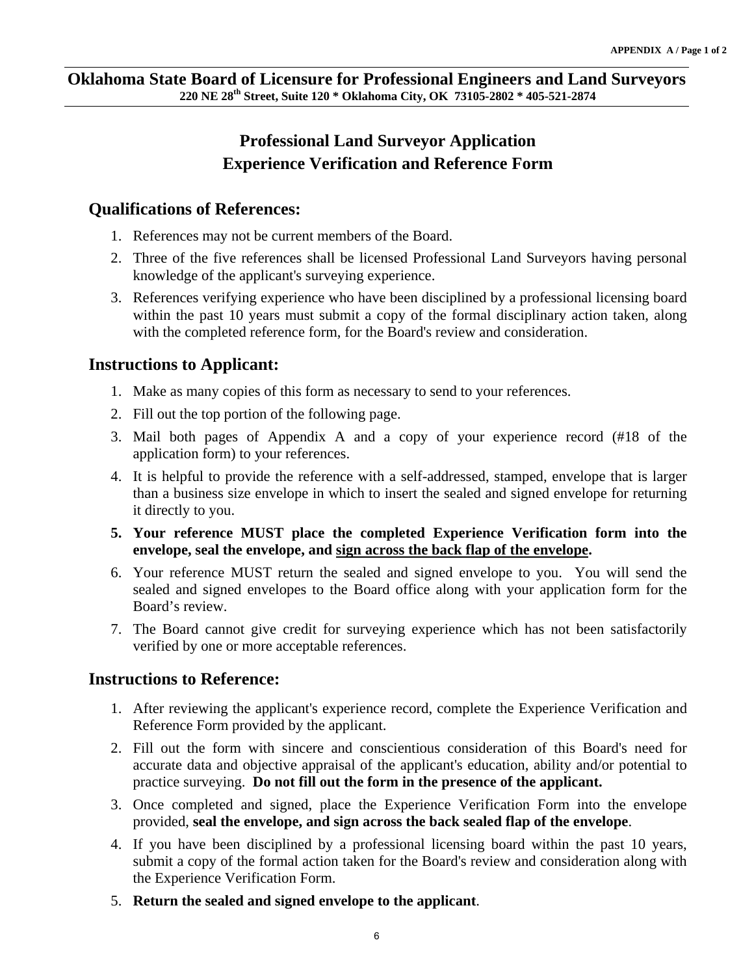# **Professional Land Surveyor Application Experience Verification and Reference Form**

## **Qualifications of References:**

- 1. References may not be current members of the Board.
- 2. Three of the five references shall be licensed Professional Land Surveyors having personal knowledge of the applicant's surveying experience.
- 3. References verifying experience who have been disciplined by a professional licensing board within the past 10 years must submit a copy of the formal disciplinary action taken, along with the completed reference form, for the Board's review and consideration.

# **Instructions to Applicant:**

- 1. Make as many copies of this form as necessary to send to your references.
- 2. Fill out the top portion of the following page.
- 3. Mail both pages of Appendix A and a copy of your experience record (#18 of the application form) to your references.
- 4. It is helpful to provide the reference with a self-addressed, stamped, envelope that is larger than a business size envelope in which to insert the sealed and signed envelope for returning it directly to you.
- **5. Your reference MUST place the completed Experience Verification form into the envelope, seal the envelope, and sign across the back flap of the envelope.**
- 6. Your reference MUST return the sealed and signed envelope to you. You will send the sealed and signed envelopes to the Board office along with your application form for the Board's review.
- 7. The Board cannot give credit for surveying experience which has not been satisfactorily verified by one or more acceptable references.

# **Instructions to Reference:**

- 1. After reviewing the applicant's experience record, complete the Experience Verification and Reference Form provided by the applicant.
- 2. Fill out the form with sincere and conscientious consideration of this Board's need for accurate data and objective appraisal of the applicant's education, ability and/or potential to practice surveying. **Do not fill out the form in the presence of the applicant.**
- 3. Once completed and signed, place the Experience Verification Form into the envelope provided, **seal the envelope, and sign across the back sealed flap of the envelope**.
- 4. If you have been disciplined by a professional licensing board within the past 10 years, submit a copy of the formal action taken for the Board's review and consideration along with the Experience Verification Form.
- 5. **Return the sealed and signed envelope to the applicant**.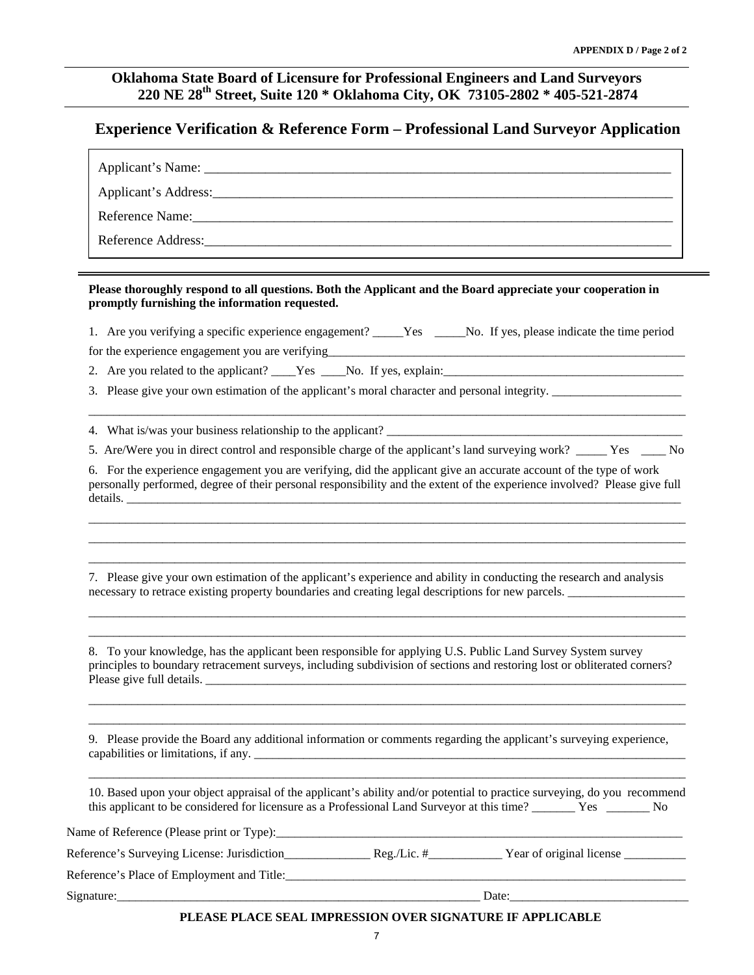### **Oklahoma State Board of Licensure for Professional Engineers and Land Surveyors 220 NE 28th Street, Suite 120 \* Oklahoma City, OK 73105-2802 \* 405-521-2874**

### **Experience Verification & Reference Form – Professional Land Surveyor Application**

| <b>Reference Name:</b> |
|------------------------|
| Reference Address:     |

#### **Please thoroughly respond to all questions. Both the Applicant and the Board appreciate your cooperation in promptly furnishing the information requested.**

1. Are you verifying a specific experience engagement? \_\_\_\_\_Yes \_\_\_\_\_No. If yes, please indicate the time period

for the experience engagement you are verifying

2. Are you related to the applicant? \_\_\_\_Yes \_\_\_\_No. If yes, explain: \_\_\_\_\_\_\_\_\_\_\_

3. Please give your own estimation of the applicant's moral character and personal integrity. \_\_\_\_\_\_\_\_\_\_\_\_\_\_\_\_\_\_\_\_\_

4. What is/was your business relationship to the applicant?

5. Are/Were you in direct control and responsible charge of the applicant's land surveying work? Yes No

 $\overline{a_1}$  ,  $\overline{a_2}$  ,  $\overline{a_3}$  ,  $\overline{a_4}$  ,  $\overline{a_5}$  ,  $\overline{a_6}$  ,  $\overline{a_7}$  ,  $\overline{a_8}$  ,  $\overline{a_9}$  ,  $\overline{a_9}$  ,  $\overline{a_9}$  ,  $\overline{a_9}$  ,  $\overline{a_9}$  ,  $\overline{a_9}$  ,  $\overline{a_9}$  ,  $\overline{a_9}$  ,  $\overline{a_9}$  ,

6. For the experience engagement you are verifying, did the applicant give an accurate account of the type of work personally performed, degree of their personal responsibility and the extent of the experience involved? Please give full details. \_\_\_\_\_\_\_\_\_\_\_\_\_\_\_\_\_\_\_\_\_\_\_\_\_\_\_\_\_\_\_\_\_\_\_\_\_\_\_\_\_\_\_\_\_\_\_\_\_\_\_\_\_\_\_\_\_\_\_\_\_\_\_\_\_\_\_\_\_\_\_\_\_\_\_\_\_\_\_\_\_\_\_\_\_\_\_\_\_\_

 $\overline{a_1}$  ,  $\overline{a_2}$  ,  $\overline{a_3}$  ,  $\overline{a_4}$  ,  $\overline{a_5}$  ,  $\overline{a_6}$  ,  $\overline{a_7}$  ,  $\overline{a_8}$  ,  $\overline{a_9}$  ,  $\overline{a_9}$  ,  $\overline{a_9}$  ,  $\overline{a_9}$  ,  $\overline{a_9}$  ,  $\overline{a_9}$  ,  $\overline{a_9}$  ,  $\overline{a_9}$  ,  $\overline{a_9}$  ,  $\overline{a_1}$  ,  $\overline{a_2}$  ,  $\overline{a_3}$  ,  $\overline{a_4}$  ,  $\overline{a_5}$  ,  $\overline{a_6}$  ,  $\overline{a_7}$  ,  $\overline{a_8}$  ,  $\overline{a_9}$  ,  $\overline{a_9}$  ,  $\overline{a_9}$  ,  $\overline{a_9}$  ,  $\overline{a_9}$  ,  $\overline{a_9}$  ,  $\overline{a_9}$  ,  $\overline{a_9}$  ,  $\overline{a_9}$  ,  $\overline{a_1}$  ,  $\overline{a_2}$  ,  $\overline{a_3}$  ,  $\overline{a_4}$  ,  $\overline{a_5}$  ,  $\overline{a_6}$  ,  $\overline{a_7}$  ,  $\overline{a_8}$  ,  $\overline{a_9}$  ,  $\overline{a_9}$  ,  $\overline{a_9}$  ,  $\overline{a_9}$  ,  $\overline{a_9}$  ,  $\overline{a_9}$  ,  $\overline{a_9}$  ,  $\overline{a_9}$  ,  $\overline{a_9}$  ,

7. Please give your own estimation of the applicant's experience and ability in conducting the research and analysis necessary to retrace existing property boundaries and creating legal descriptions for new parcels.

8. To your knowledge, has the applicant been responsible for applying U.S. Public Land Survey System survey principles to boundary retracement surveys, including subdivision of sections and restoring lost or obliterated corners? Please give full details.

\_\_\_\_\_\_\_\_\_\_\_\_\_\_\_\_\_\_\_\_\_\_\_\_\_\_\_\_\_\_\_\_\_\_\_\_\_\_\_\_\_\_\_\_\_\_\_\_\_\_\_\_\_\_\_\_\_\_\_\_\_\_\_\_\_\_\_\_\_\_\_\_\_\_\_\_\_\_\_\_\_\_\_\_\_\_\_\_\_\_\_\_\_\_\_\_\_ \_\_\_\_\_\_\_\_\_\_\_\_\_\_\_\_\_\_\_\_\_\_\_\_\_\_\_\_\_\_\_\_\_\_\_\_\_\_\_\_\_\_\_\_\_\_\_\_\_\_\_\_\_\_\_\_\_\_\_\_\_\_\_\_\_\_\_\_\_\_\_\_\_\_\_\_\_\_\_\_\_\_\_\_\_\_\_\_\_\_\_\_\_\_\_\_\_

\_\_\_\_\_\_\_\_\_\_\_\_\_\_\_\_\_\_\_\_\_\_\_\_\_\_\_\_\_\_\_\_\_\_\_\_\_\_\_\_\_\_\_\_\_\_\_\_\_\_\_\_\_\_\_\_\_\_\_\_\_\_\_\_\_\_\_\_\_\_\_\_\_\_\_\_\_\_\_\_\_\_\_\_\_\_\_\_\_\_\_\_\_\_\_\_\_  $\overline{a_1}$  ,  $\overline{a_2}$  ,  $\overline{a_3}$  ,  $\overline{a_4}$  ,  $\overline{a_5}$  ,  $\overline{a_6}$  ,  $\overline{a_7}$  ,  $\overline{a_8}$  ,  $\overline{a_9}$  ,  $\overline{a_9}$  ,  $\overline{a_9}$  ,  $\overline{a_9}$  ,  $\overline{a_9}$  ,  $\overline{a_9}$  ,  $\overline{a_9}$  ,  $\overline{a_9}$  ,  $\overline{a_9}$  ,

9. Please provide the Board any additional information or comments regarding the applicant's surveying experience, capabilities or limitations, if any.

10. Based upon your object appraisal of the applicant's ability and/or potential to practice surveying, do you recommend this applicant to be considered for licensure as a Professional Land Surveyor at this time? \_\_\_\_\_\_\_ Yes \_\_\_\_\_\_\_ No

 $\overline{a_1}$  ,  $\overline{a_2}$  ,  $\overline{a_3}$  ,  $\overline{a_4}$  ,  $\overline{a_5}$  ,  $\overline{a_6}$  ,  $\overline{a_7}$  ,  $\overline{a_8}$  ,  $\overline{a_9}$  ,  $\overline{a_9}$  ,  $\overline{a_9}$  ,  $\overline{a_9}$  ,  $\overline{a_9}$  ,  $\overline{a_9}$  ,  $\overline{a_9}$  ,  $\overline{a_9}$  ,  $\overline{a_9}$  ,

Name of Reference (Please print or Type):\_\_\_\_\_\_\_\_\_\_\_\_\_\_\_\_\_\_\_\_\_\_\_\_\_\_\_\_\_\_\_\_\_\_\_\_\_\_\_\_\_\_\_\_\_\_\_\_\_\_\_\_\_\_\_\_\_\_\_\_\_\_\_\_\_\_

| Reference's Surveying License: Jurisdiction | $\text{Re}\sigma$ /Lic. # | Year of original license |  |
|---------------------------------------------|---------------------------|--------------------------|--|
|                                             |                           |                          |  |

Reference's Place of Employment and Title:

Signature:\_\_\_\_\_\_\_\_\_\_\_\_\_\_\_\_\_\_\_\_\_\_\_\_\_\_\_\_\_\_\_\_\_\_\_\_\_\_\_\_\_\_\_\_\_\_\_\_\_\_\_\_\_\_\_\_\_\_\_ Date:\_\_\_\_\_\_\_\_\_\_\_\_\_\_\_\_\_\_\_\_\_\_\_\_\_\_\_\_\_

#### **PLEASE PLACE SEAL IMPRESSION OVER SIGNATURE IF APPLICABLE**